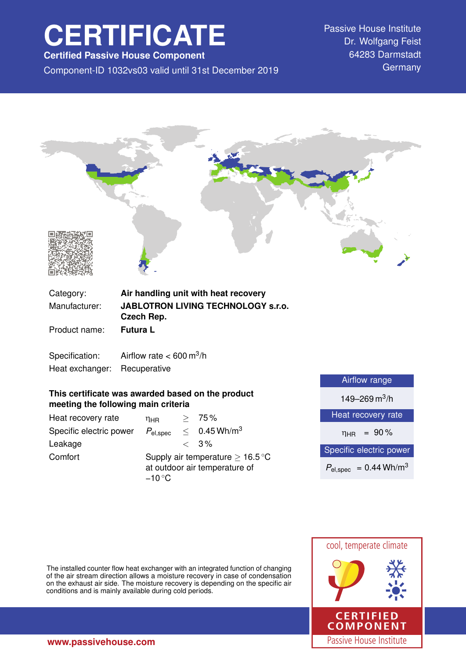# **CERTIFICATE**

**Certified Passive House Component**

Component-ID 1032vs03 valid until 31st December 2019 Germany

Passive House Institute Dr. Wolfgang Feist 64283 Darmstadt



| Category:     | Air handling unit with heat recovery                    |
|---------------|---------------------------------------------------------|
| Manufacturer: | <b>JABLOTRON LIVING TECHNOLOGY s.r.o.</b><br>Czech Rep. |
| Product name: | Futura L                                                |

Specification: Airflow rate  $< 600 \text{ m}^3/\text{h}$ Heat exchanger: Recuperative

### **This certificate was awarded based on the product meeting the following main criteria**

| Heat recovery rate      | ηнв                                                                                              |  | > 75%                      |
|-------------------------|--------------------------------------------------------------------------------------------------|--|----------------------------|
| Specific electric power | $P_{el,spec}$                                                                                    |  | $< 0.45$ Wh/m <sup>3</sup> |
| Leakage                 |                                                                                                  |  | $< 3\%$                    |
| Comfort                 | Supply air temperature $\geq 16.5^{\circ}$ C<br>at outdoor air temperature of<br>$-10^{\circ}$ C |  |                            |

149–269 m<sup>3</sup>/h

Heat recovery rate

 $\eta_{HR}$  = 90%

Specific electric power

 $P_{el,spec}$  = 0.44 Wh/m<sup>3</sup>

The installed counter flow heat exchanger with an integrated function of changing of the air stream direction allows a moisture recovery in case of condensation on the exhaust air side. The moisture recovery is depending on the specific air conditions and is mainly available during cold periods.



**[www.passivehouse.com](www.passivehouse.com )**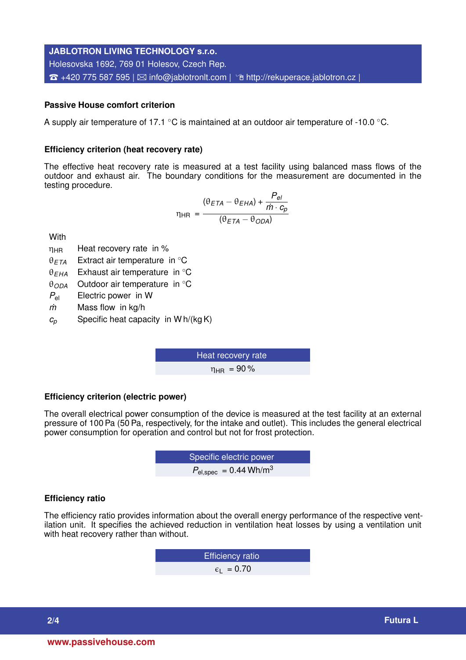## **JABLOTRON LIVING TECHNOLOGY s.r.o.** Holesovska 1692, 769 01 Holesov, Czech Rep.  $\hat{\sigma}$  +420 775 587 595 |  $\boxtimes$  [info@jablotronlt.com](mailto:info@jablotronlt.com) |  $\hat{\sigma}$  <http://rekuperace.jablotron.cz> |

#### **Passive House comfort criterion**

A supply air temperature of 17.1 ◦C is maintained at an outdoor air temperature of -10.0 ◦C.

#### **Efficiency criterion (heat recovery rate)**

The effective heat recovery rate is measured at a test facility using balanced mass flows of the outdoor and exhaust air. The boundary conditions for the measurement are documented in the testing procedure.

$$
\eta_{HR} = \frac{(\theta_{ETA} - \theta_{EHA}) + \frac{P_{el}}{\dot{m} \cdot c_p}}{(\theta_{ETA} - \theta_{ODA})}
$$

**With** 

 $n<sub>HR</sub>$  Heat recovery rate in %

θ*ETA* Extract air temperature in ◦C

θ*EHA* Exhaust air temperature in ◦C

θ*ODA* Outdoor air temperature in ◦C

*P*el Electric power in W

*m˙* Mass flow in kg/h

*c<sup>p</sup>* Specific heat capacity in W h/(kg K)

Heat recovery rate  $\eta_{HR}$  = 90%

#### **Efficiency criterion (electric power)**

The overall electrical power consumption of the device is measured at the test facility at an external pressure of 100 Pa (50 Pa, respectively, for the intake and outlet). This includes the general electrical power consumption for operation and control but not for frost protection.

**EXECUTE:** Specific electric power  

$$
P_{\text{el,spec}} = 0.44 \text{ Wh/m}^3
$$

#### **Efficiency ratio**

The efficiency ratio provides information about the overall energy performance of the respective ventilation unit. It specifies the achieved reduction in ventilation heat losses by using a ventilation unit with heat recovery rather than without.

> Efficiency ratio  $\epsilon_1$  = 0.70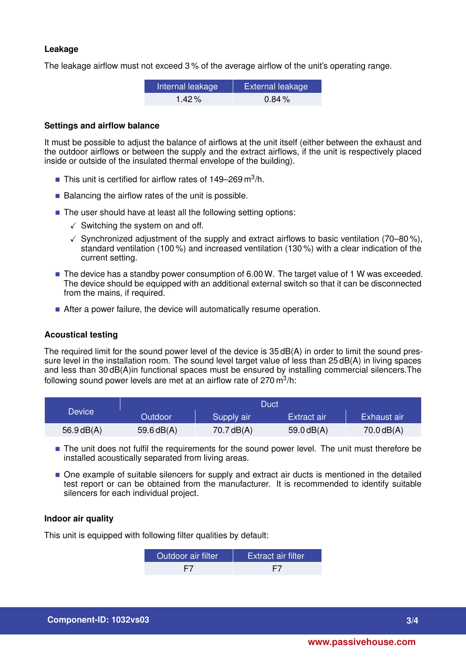#### **Leakage**

The leakage airflow must not exceed 3 % of the average airflow of the unit's operating range.

| Internal leakage | <b>External leakage</b> |  |  |
|------------------|-------------------------|--|--|
| $1.42\%$         | $0.84\%$                |  |  |

#### **Settings and airflow balance**

It must be possible to adjust the balance of airflows at the unit itself (either between the exhaust and the outdoor airflows or between the supply and the extract airflows, if the unit is respectively placed inside or outside of the insulated thermal envelope of the building).

- **This unit is certified for airflow rates of 149–269** m<sup>3</sup>/h.
- $\blacksquare$  Balancing the airflow rates of the unit is possible.
- The user should have at least all the following setting options:
	- $\checkmark$  Switching the system on and off.
	- $\checkmark$  Synchronized adjustment of the supply and extract airflows to basic ventilation (70–80%), standard ventilation (100 %) and increased ventilation (130 %) with a clear indication of the current setting.
- The device has a standby power consumption of 6.00 W. The target value of 1 W was exceeded. The device should be equipped with an additional external switch so that it can be disconnected from the mains, if required.
- After a power failure, the device will automatically resume operation.

#### **Acoustical testing**

The required limit for the sound power level of the device is 35 dB(A) in order to limit the sound pressure level in the installation room. The sound level target value of less than 25 dB(A) in living spaces and less than 30 dB(A)in functional spaces must be ensured by installing commercial silencers.The following sound power levels are met at an airflow rate of 270 m $^3$ /h:

| <b>Device</b> | Duct           |              |              |              |
|---------------|----------------|--------------|--------------|--------------|
|               | <b>Outdoor</b> | Supply air   | Extract air  | Exhaust air  |
| $56.9$ dB(A)  | 59.6 $dB(A)$   | 70.7 $dB(A)$ | 59.0 $dB(A)$ | 70.0 $dB(A)$ |

- The unit does not fulfil the requirements for the sound power level. The unit must therefore be installed acoustically separated from living areas.
- $\blacksquare$  One example of suitable silencers for supply and extract air ducts is mentioned in the detailed test report or can be obtained from the manufacturer. It is recommended to identify suitable silencers for each individual project.

#### **Indoor air quality**

This unit is equipped with following filter qualities by default:

| Outdoor air filter | Extract air filter |  |  |
|--------------------|--------------------|--|--|
| F7                 | F7                 |  |  |